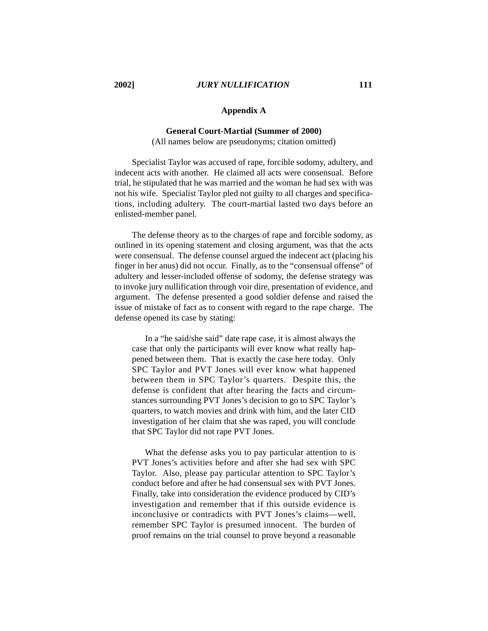## **Appendix A**

#### **General Court-Martial (Summer of 2000)**

(All names below are pseudonyms; citation omitted)

Specialist Taylor was accused of rape, forcible sodomy, adultery, and indecent acts with another. He claimed all acts were consensual. Before trial, he stipulated that he was married and the woman he had sex with was not his wife. Specialist Taylor pled not guilty to all charges and specifications, including adultery. The court-martial lasted two days before an enlisted-member panel.

The defense theory as to the charges of rape and forcible sodomy, as outlined in its opening statement and closing argument, was that the acts were consensual. The defense counsel argued the indecent act (placing his finger in her anus) did not occur. Finally, as to the "consensual offense" of adultery and lesser-included offense of sodomy, the defense strategy was to invoke jury nullification through voir dire, presentation of evidence, and argument. The defense presented a good soldier defense and raised the issue of mistake of fact as to consent with regard to the rape charge. The defense opened its case by stating:

In a "he said/she said" date rape case, it is almost always the case that only the participants will ever know what really happened between them. That is exactly the case here today. Only SPC Taylor and PVT Jones will ever know what happened between them in SPC Taylor's quarters. Despite this, the defense is confident that after hearing the facts and circumstances surrounding PVT Jones's decision to go to SPC Taylor's quarters, to watch movies and drink with him, and the later CID investigation of her claim that she was raped, you will conclude that SPC Taylor did not rape PVT Jones.

What the defense asks you to pay particular attention to is PVT Jones's activities before and after she had sex with SPC Taylor. Also, please pay particular attention to SPC Taylor's conduct before and after he had consensual sex with PVT Jones. Finally, take into consideration the evidence produced by CID's investigation and remember that if this outside evidence is inconclusive or contradicts with PVT Jones's claims—well, remember SPC Taylor is presumed innocent. The burden of proof remains on the trial counsel to prove beyond a reasonable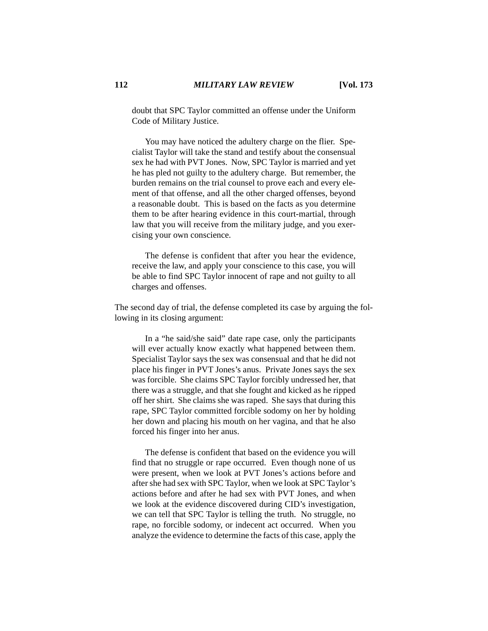doubt that SPC Taylor committed an offense under the Uniform Code of Military Justice.

You may have noticed the adultery charge on the flier. Specialist Taylor will take the stand and testify about the consensual sex he had with PVT Jones. Now, SPC Taylor is married and yet he has pled not guilty to the adultery charge. But remember, the burden remains on the trial counsel to prove each and every element of that offense, and all the other charged offenses, beyond a reasonable doubt. This is based on the facts as you determine them to be after hearing evidence in this court-martial, through law that you will receive from the military judge, and you exercising your own conscience.

The defense is confident that after you hear the evidence, receive the law, and apply your conscience to this case, you will be able to find SPC Taylor innocent of rape and not guilty to all charges and offenses.

The second day of trial, the defense completed its case by arguing the following in its closing argument:

In a "he said/she said" date rape case, only the participants will ever actually know exactly what happened between them. Specialist Taylor says the sex was consensual and that he did not place his finger in PVT Jones's anus. Private Jones says the sex was forcible. She claims SPC Taylor forcibly undressed her, that there was a struggle, and that she fought and kicked as he ripped off her shirt. She claims she was raped. She says that during this rape, SPC Taylor committed forcible sodomy on her by holding her down and placing his mouth on her vagina, and that he also forced his finger into her anus.

The defense is confident that based on the evidence you will find that no struggle or rape occurred. Even though none of us were present, when we look at PVT Jones's actions before and after she had sex with SPC Taylor, when we look at SPC Taylor's actions before and after he had sex with PVT Jones, and when we look at the evidence discovered during CID's investigation, we can tell that SPC Taylor is telling the truth. No struggle, no rape, no forcible sodomy, or indecent act occurred. When you analyze the evidence to determine the facts of this case, apply the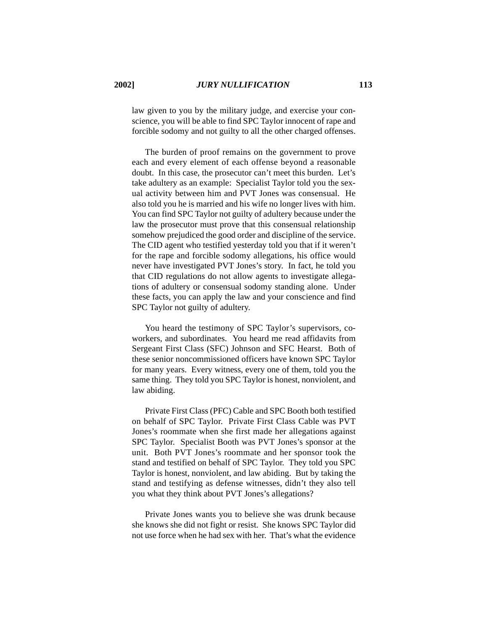law given to you by the military judge, and exercise your conscience, you will be able to find SPC Taylor innocent of rape and forcible sodomy and not guilty to all the other charged offenses.

The burden of proof remains on the government to prove each and every element of each offense beyond a reasonable doubt. In this case, the prosecutor can't meet this burden. Let's take adultery as an example: Specialist Taylor told you the sexual activity between him and PVT Jones was consensual. He also told you he is married and his wife no longer lives with him. You can find SPC Taylor not guilty of adultery because under the law the prosecutor must prove that this consensual relationship somehow prejudiced the good order and discipline of the service. The CID agent who testified yesterday told you that if it weren't for the rape and forcible sodomy allegations, his office would never have investigated PVT Jones's story. In fact, he told you that CID regulations do not allow agents to investigate allegations of adultery or consensual sodomy standing alone. Under these facts, you can apply the law and your conscience and find SPC Taylor not guilty of adultery.

You heard the testimony of SPC Taylor's supervisors, coworkers, and subordinates. You heard me read affidavits from Sergeant First Class (SFC) Johnson and SFC Hearst. Both of these senior noncommissioned officers have known SPC Taylor for many years. Every witness, every one of them, told you the same thing. They told you SPC Taylor is honest, nonviolent, and law abiding.

Private First Class (PFC) Cable and SPC Booth both testified on behalf of SPC Taylor. Private First Class Cable was PVT Jones's roommate when she first made her allegations against SPC Taylor. Specialist Booth was PVT Jones's sponsor at the unit. Both PVT Jones's roommate and her sponsor took the stand and testified on behalf of SPC Taylor. They told you SPC Taylor is honest, nonviolent, and law abiding. But by taking the stand and testifying as defense witnesses, didn't they also tell you what they think about PVT Jones's allegations?

Private Jones wants you to believe she was drunk because she knows she did not fight or resist. She knows SPC Taylor did not use force when he had sex with her. That's what the evidence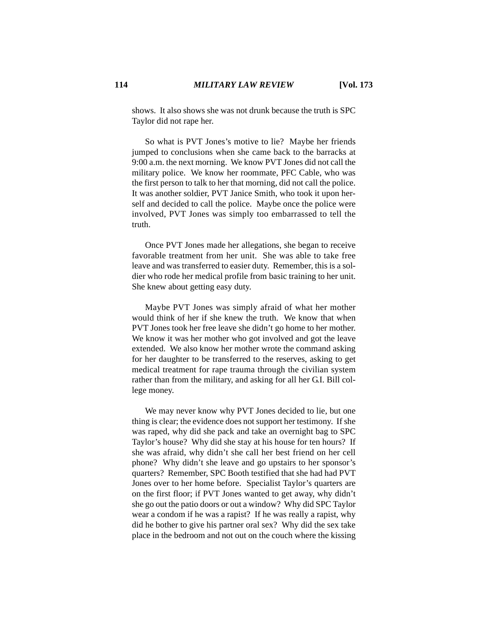shows. It also shows she was not drunk because the truth is SPC Taylor did not rape her.

So what is PVT Jones's motive to lie? Maybe her friends jumped to conclusions when she came back to the barracks at 9:00 a.m. the next morning. We know PVT Jones did not call the military police. We know her roommate, PFC Cable, who was the first person to talk to her that morning, did not call the police. It was another soldier, PVT Janice Smith, who took it upon herself and decided to call the police. Maybe once the police were involved, PVT Jones was simply too embarrassed to tell the truth.

Once PVT Jones made her allegations, she began to receive favorable treatment from her unit. She was able to take free leave and was transferred to easier duty. Remember, this is a soldier who rode her medical profile from basic training to her unit. She knew about getting easy duty.

Maybe PVT Jones was simply afraid of what her mother would think of her if she knew the truth. We know that when PVT Jones took her free leave she didn't go home to her mother. We know it was her mother who got involved and got the leave extended. We also know her mother wrote the command asking for her daughter to be transferred to the reserves, asking to get medical treatment for rape trauma through the civilian system rather than from the military, and asking for all her G.I. Bill college money.

We may never know why PVT Jones decided to lie, but one thing is clear; the evidence does not support her testimony. If she was raped, why did she pack and take an overnight bag to SPC Taylor's house? Why did she stay at his house for ten hours? If she was afraid, why didn't she call her best friend on her cell phone? Why didn't she leave and go upstairs to her sponsor's quarters? Remember, SPC Booth testified that she had had PVT Jones over to her home before. Specialist Taylor's quarters are on the first floor; if PVT Jones wanted to get away, why didn't she go out the patio doors or out a window? Why did SPC Taylor wear a condom if he was a rapist? If he was really a rapist, why did he bother to give his partner oral sex? Why did the sex take place in the bedroom and not out on the couch where the kissing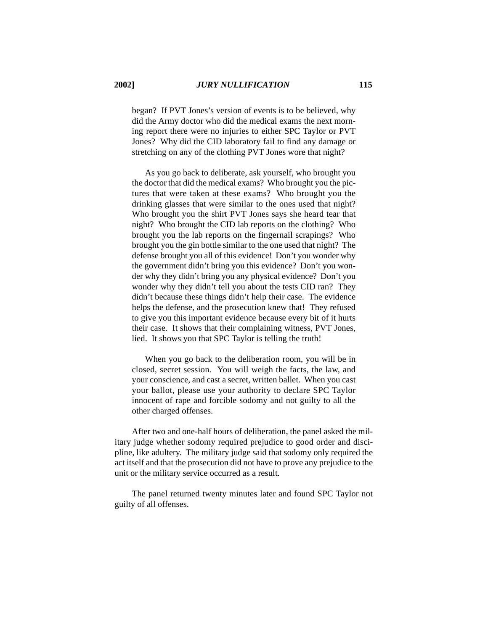began? If PVT Jones's version of events is to be believed, why did the Army doctor who did the medical exams the next morning report there were no injuries to either SPC Taylor or PVT Jones? Why did the CID laboratory fail to find any damage or stretching on any of the clothing PVT Jones wore that night?

As you go back to deliberate, ask yourself, who brought you the doctor that did the medical exams? Who brought you the pictures that were taken at these exams? Who brought you the drinking glasses that were similar to the ones used that night? Who brought you the shirt PVT Jones says she heard tear that night? Who brought the CID lab reports on the clothing? Who brought you the lab reports on the fingernail scrapings? Who brought you the gin bottle similar to the one used that night? The defense brought you all of this evidence! Don't you wonder why the government didn't bring you this evidence? Don't you wonder why they didn't bring you any physical evidence? Don't you wonder why they didn't tell you about the tests CID ran? They didn't because these things didn't help their case. The evidence helps the defense, and the prosecution knew that! They refused to give you this important evidence because every bit of it hurts their case. It shows that their complaining witness, PVT Jones, lied. It shows you that SPC Taylor is telling the truth!

When you go back to the deliberation room, you will be in closed, secret session. You will weigh the facts, the law, and your conscience, and cast a secret, written ballet. When you cast your ballot, please use your authority to declare SPC Taylor innocent of rape and forcible sodomy and not guilty to all the other charged offenses.

After two and one-half hours of deliberation, the panel asked the military judge whether sodomy required prejudice to good order and discipline, like adultery. The military judge said that sodomy only required the act itself and that the prosecution did not have to prove any prejudice to the unit or the military service occurred as a result.

The panel returned twenty minutes later and found SPC Taylor not guilty of all offenses.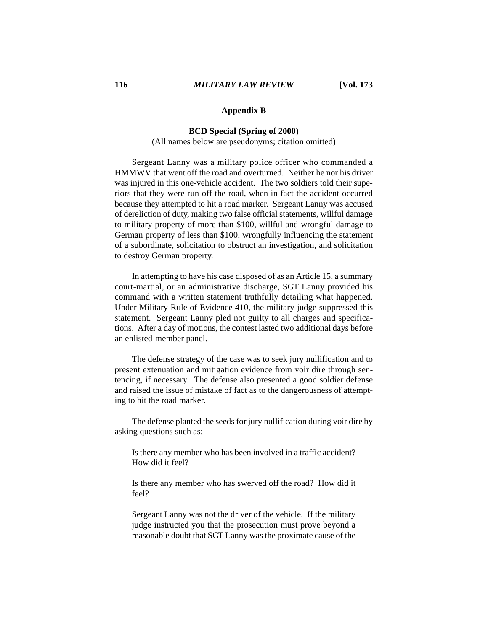## **Appendix B**

#### **BCD Special (Spring of 2000)**

(All names below are pseudonyms; citation omitted)

Sergeant Lanny was a military police officer who commanded a HMMWV that went off the road and overturned. Neither he nor his driver was injured in this one-vehicle accident. The two soldiers told their superiors that they were run off the road, when in fact the accident occurred because they attempted to hit a road marker. Sergeant Lanny was accused of dereliction of duty, making two false official statements, willful damage to military property of more than \$100, willful and wrongful damage to German property of less than \$100, wrongfully influencing the statement of a subordinate, solicitation to obstruct an investigation, and solicitation to destroy German property.

In attempting to have his case disposed of as an Article 15, a summary court-martial, or an administrative discharge, SGT Lanny provided his command with a written statement truthfully detailing what happened. Under Military Rule of Evidence 410, the military judge suppressed this statement. Sergeant Lanny pled not guilty to all charges and specifications. After a day of motions, the contest lasted two additional days before an enlisted-member panel.

The defense strategy of the case was to seek jury nullification and to present extenuation and mitigation evidence from voir dire through sentencing, if necessary. The defense also presented a good soldier defense and raised the issue of mistake of fact as to the dangerousness of attempting to hit the road marker.

The defense planted the seeds for jury nullification during voir dire by asking questions such as:

Is there any member who has been involved in a traffic accident? How did it feel?

Is there any member who has swerved off the road? How did it feel?

Sergeant Lanny was not the driver of the vehicle. If the military judge instructed you that the prosecution must prove beyond a reasonable doubt that SGT Lanny was the proximate cause of the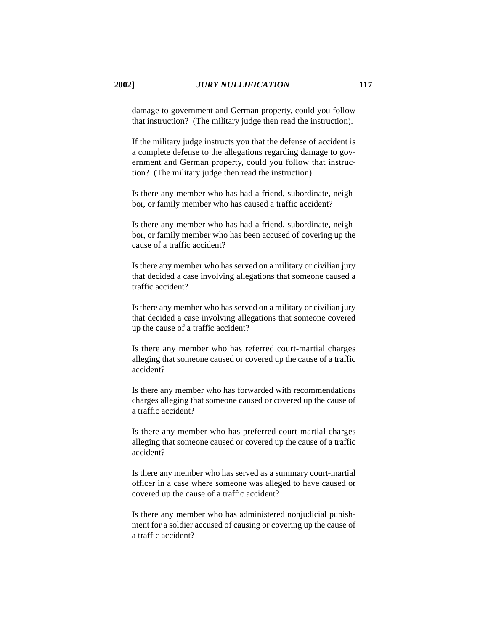damage to government and German property, could you follow that instruction? (The military judge then read the instruction).

If the military judge instructs you that the defense of accident is a complete defense to the allegations regarding damage to government and German property, could you follow that instruction? (The military judge then read the instruction).

Is there any member who has had a friend, subordinate, neighbor, or family member who has caused a traffic accident?

Is there any member who has had a friend, subordinate, neighbor, or family member who has been accused of covering up the cause of a traffic accident?

Is there any member who has served on a military or civilian jury that decided a case involving allegations that someone caused a traffic accident?

Is there any member who has served on a military or civilian jury that decided a case involving allegations that someone covered up the cause of a traffic accident?

Is there any member who has referred court-martial charges alleging that someone caused or covered up the cause of a traffic accident?

Is there any member who has forwarded with recommendations charges alleging that someone caused or covered up the cause of a traffic accident?

Is there any member who has preferred court-martial charges alleging that someone caused or covered up the cause of a traffic accident?

Is there any member who has served as a summary court-martial officer in a case where someone was alleged to have caused or covered up the cause of a traffic accident?

Is there any member who has administered nonjudicial punishment for a soldier accused of causing or covering up the cause of a traffic accident?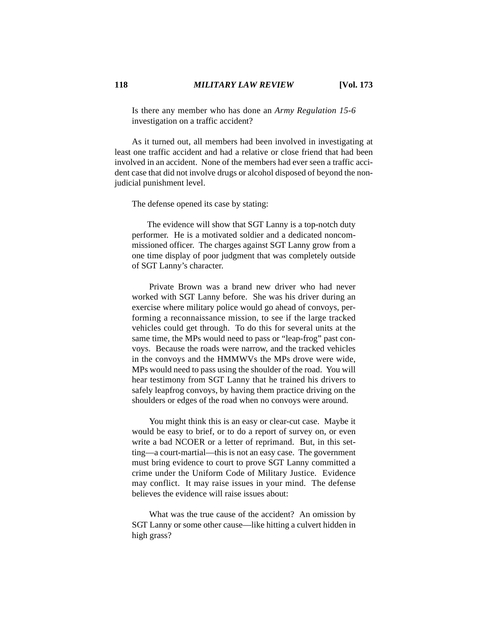Is there any member who has done an *Army Regulation 15-6* investigation on a traffic accident?

As it turned out, all members had been involved in investigating at least one traffic accident and had a relative or close friend that had been involved in an accident. None of the members had ever seen a traffic accident case that did not involve drugs or alcohol disposed of beyond the nonjudicial punishment level.

The defense opened its case by stating:

 The evidence will show that SGT Lanny is a top-notch duty performer. He is a motivated soldier and a dedicated noncommissioned officer. The charges against SGT Lanny grow from a one time display of poor judgment that was completely outside of SGT Lanny's character.

Private Brown was a brand new driver who had never worked with SGT Lanny before. She was his driver during an exercise where military police would go ahead of convoys, performing a reconnaissance mission, to see if the large tracked vehicles could get through. To do this for several units at the same time, the MPs would need to pass or "leap-frog" past convoys. Because the roads were narrow, and the tracked vehicles in the convoys and the HMMWVs the MPs drove were wide, MPs would need to pass using the shoulder of the road. You will hear testimony from SGT Lanny that he trained his drivers to safely leapfrog convoys, by having them practice driving on the shoulders or edges of the road when no convoys were around.

You might think this is an easy or clear-cut case. Maybe it would be easy to brief, or to do a report of survey on, or even write a bad NCOER or a letter of reprimand. But, in this setting—a court-martial—this is not an easy case. The government must bring evidence to court to prove SGT Lanny committed a crime under the Uniform Code of Military Justice. Evidence may conflict. It may raise issues in your mind. The defense believes the evidence will raise issues about:

What was the true cause of the accident? An omission by SGT Lanny or some other cause—like hitting a culvert hidden in high grass?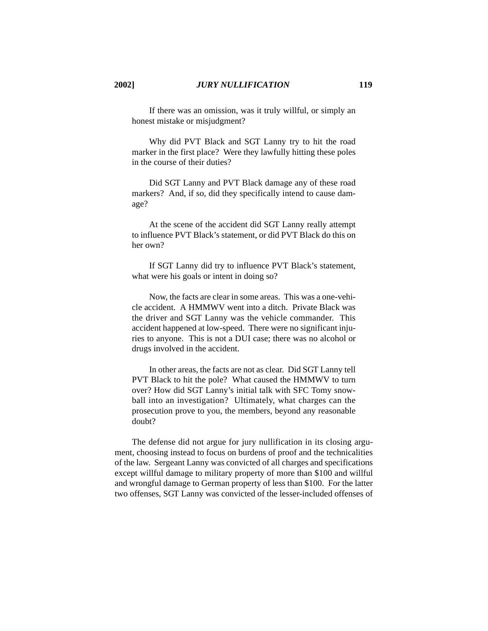If there was an omission, was it truly willful, or simply an honest mistake or misjudgment?

Why did PVT Black and SGT Lanny try to hit the road marker in the first place? Were they lawfully hitting these poles in the course of their duties?

Did SGT Lanny and PVT Black damage any of these road markers? And, if so, did they specifically intend to cause damage?

At the scene of the accident did SGT Lanny really attempt to influence PVT Black's statement, or did PVT Black do this on her own?

If SGT Lanny did try to influence PVT Black's statement, what were his goals or intent in doing so?

Now, the facts are clear in some areas. This was a one-vehicle accident. A HMMWV went into a ditch. Private Black was the driver and SGT Lanny was the vehicle commander. This accident happened at low-speed. There were no significant injuries to anyone. This is not a DUI case; there was no alcohol or drugs involved in the accident.

In other areas, the facts are not as clear. Did SGT Lanny tell PVT Black to hit the pole? What caused the HMMWV to turn over? How did SGT Lanny's initial talk with SFC Tomy snowball into an investigation? Ultimately, what charges can the prosecution prove to you, the members, beyond any reasonable doubt?

The defense did not argue for jury nullification in its closing argument, choosing instead to focus on burdens of proof and the technicalities of the law. Sergeant Lanny was convicted of all charges and specifications except willful damage to military property of more than \$100 and willful and wrongful damage to German property of less than \$100. For the latter two offenses, SGT Lanny was convicted of the lesser-included offenses of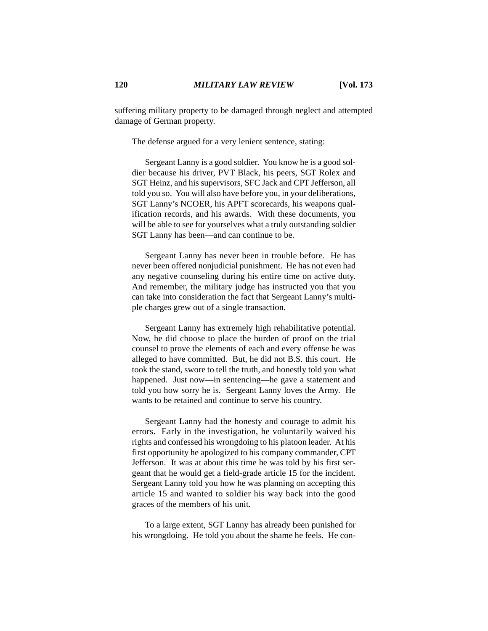suffering military property to be damaged through neglect and attempted damage of German property.

The defense argued for a very lenient sentence, stating:

Sergeant Lanny is a good soldier. You know he is a good soldier because his driver, PVT Black, his peers, SGT Rolex and SGT Heinz, and his supervisors, SFC Jack and CPT Jefferson, all told you so. You will also have before you, in your deliberations, SGT Lanny's NCOER, his APFT scorecards, his weapons qualification records, and his awards. With these documents, you will be able to see for yourselves what a truly outstanding soldier SGT Lanny has been—and can continue to be.

Sergeant Lanny has never been in trouble before. He has never been offered nonjudicial punishment. He has not even had any negative counseling during his entire time on active duty. And remember, the military judge has instructed you that you can take into consideration the fact that Sergeant Lanny's multiple charges grew out of a single transaction.

Sergeant Lanny has extremely high rehabilitative potential. Now, he did choose to place the burden of proof on the trial counsel to prove the elements of each and every offense he was alleged to have committed. But, he did not B.S. this court. He took the stand, swore to tell the truth, and honestly told you what happened. Just now—in sentencing—he gave a statement and told you how sorry he is. Sergeant Lanny loves the Army. He wants to be retained and continue to serve his country.

Sergeant Lanny had the honesty and courage to admit his errors. Early in the investigation, he voluntarily waived his rights and confessed his wrongdoing to his platoon leader. At his first opportunity he apologized to his company commander, CPT Jefferson. It was at about this time he was told by his first sergeant that he would get a field-grade article 15 for the incident. Sergeant Lanny told you how he was planning on accepting this article 15 and wanted to soldier his way back into the good graces of the members of his unit.

To a large extent, SGT Lanny has already been punished for his wrongdoing. He told you about the shame he feels. He con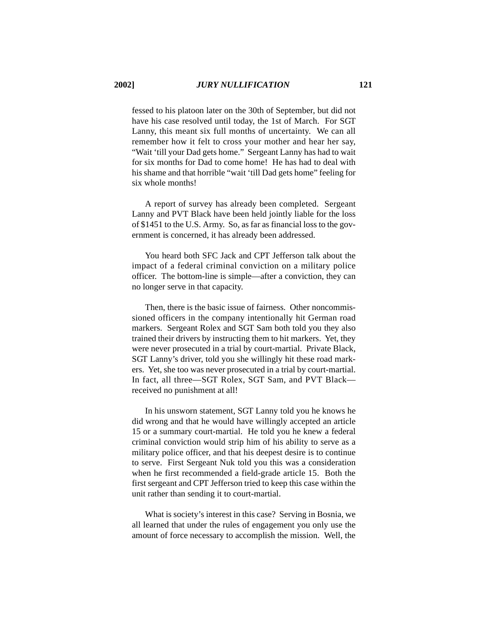fessed to his platoon later on the 30th of September, but did not have his case resolved until today, the 1st of March. For SGT Lanny, this meant six full months of uncertainty. We can all remember how it felt to cross your mother and hear her say, "Wait 'till your Dad gets home." Sergeant Lanny has had to wait for six months for Dad to come home! He has had to deal with his shame and that horrible "wait 'till Dad gets home" feeling for six whole months!

A report of survey has already been completed. Sergeant Lanny and PVT Black have been held jointly liable for the loss of \$1451 to the U.S. Army. So, as far as financial loss to the government is concerned, it has already been addressed.

You heard both SFC Jack and CPT Jefferson talk about the impact of a federal criminal conviction on a military police officer. The bottom-line is simple—after a conviction, they can no longer serve in that capacity.

Then, there is the basic issue of fairness. Other noncommissioned officers in the company intentionally hit German road markers. Sergeant Rolex and SGT Sam both told you they also trained their drivers by instructing them to hit markers. Yet, they were never prosecuted in a trial by court-martial. Private Black, SGT Lanny's driver, told you she willingly hit these road markers. Yet, she too was never prosecuted in a trial by court-martial. In fact, all three—SGT Rolex, SGT Sam, and PVT Black received no punishment at all!

In his unsworn statement, SGT Lanny told you he knows he did wrong and that he would have willingly accepted an article 15 or a summary court-martial. He told you he knew a federal criminal conviction would strip him of his ability to serve as a military police officer, and that his deepest desire is to continue to serve. First Sergeant Nuk told you this was a consideration when he first recommended a field-grade article 15. Both the first sergeant and CPT Jefferson tried to keep this case within the unit rather than sending it to court-martial.

What is society's interest in this case? Serving in Bosnia, we all learned that under the rules of engagement you only use the amount of force necessary to accomplish the mission. Well, the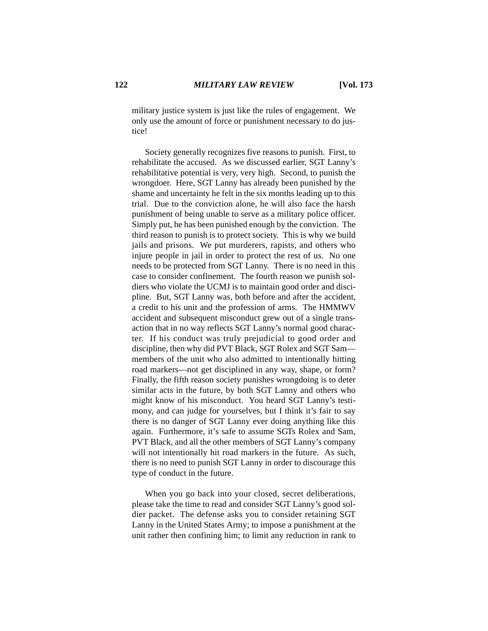military justice system is just like the rules of engagement. We only use the amount of force or punishment necessary to do justice!

Society generally recognizes five reasons to punish. First, to rehabilitate the accused. As we discussed earlier, SGT Lanny's rehabilitative potential is very, very high. Second, to punish the wrongdoer. Here, SGT Lanny has already been punished by the shame and uncertainty he felt in the six months leading up to this trial. Due to the conviction alone, he will also face the harsh punishment of being unable to serve as a military police officer. Simply put, he has been punished enough by the conviction. The third reason to punish is to protect society. This is why we build jails and prisons. We put murderers, rapists, and others who injure people in jail in order to protect the rest of us. No one needs to be protected from SGT Lanny. There is no need in this case to consider confinement. The fourth reason we punish soldiers who violate the UCMJ is to maintain good order and discipline. But, SGT Lanny was, both before and after the accident, a credit to his unit and the profession of arms. The HMMWV accident and subsequent misconduct grew out of a single transaction that in no way reflects SGT Lanny's normal good character. If his conduct was truly prejudicial to good order and discipline, then why did PVT Black, SGT Rolex and SGT Sam members of the unit who also admitted to intentionally hitting road markers—not get disciplined in any way, shape, or form? Finally, the fifth reason society punishes wrongdoing is to deter similar acts in the future, by both SGT Lanny and others who might know of his misconduct. You heard SGT Lanny's testimony, and can judge for yourselves, but I think it's fair to say there is no danger of SGT Lanny ever doing anything like this again. Furthermore, it's safe to assume SGTs Rolex and Sam, PVT Black, and all the other members of SGT Lanny's company will not intentionally hit road markers in the future. As such, there is no need to punish SGT Lanny in order to discourage this type of conduct in the future.

When you go back into your closed, secret deliberations, please take the time to read and consider SGT Lanny's good soldier packet. The defense asks you to consider retaining SGT Lanny in the United States Army; to impose a punishment at the unit rather then confining him; to limit any reduction in rank to